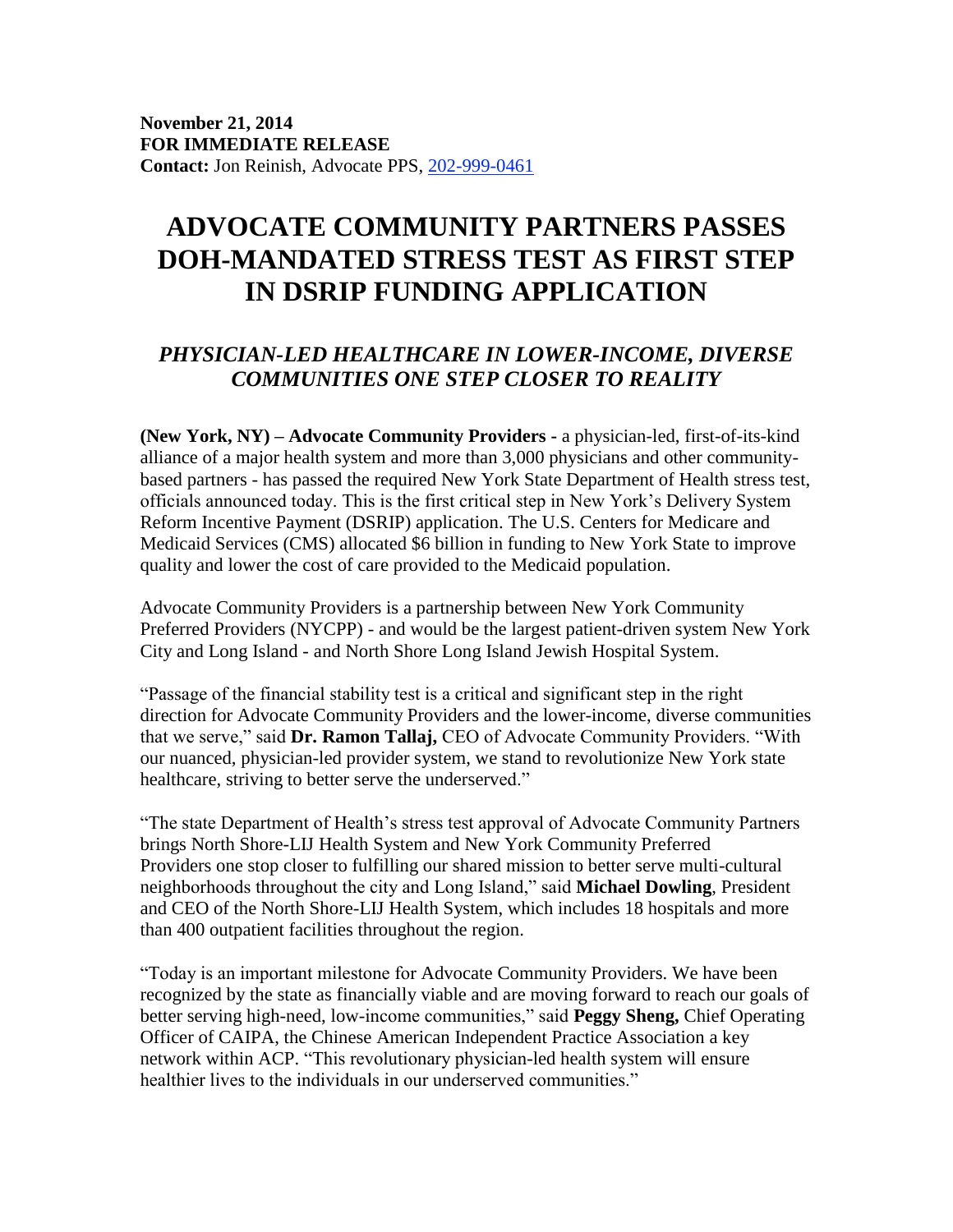## **ADVOCATE COMMUNITY PARTNERS PASSES DOH-MANDATED STRESS TEST AS FIRST STEP IN DSRIP FUNDING APPLICATION**

## *PHYSICIAN-LED HEALTHCARE IN LOWER-INCOME, DIVERSE COMMUNITIES ONE STEP CLOSER TO REALITY*

**(New York, NY) – Advocate Community Providers -** a physician-led, first-of-its-kind alliance of a major health system and more than 3,000 physicians and other communitybased partners - has passed the required New York State Department of Health stress test, officials announced today. This is the first critical step in New York's Delivery System Reform Incentive Payment (DSRIP) application. The U.S. Centers for Medicare and Medicaid Services (CMS) allocated \$6 billion in funding to New York State to improve quality and lower the cost of care provided to the Medicaid population.

Advocate Community Providers is a partnership between New York Community Preferred Providers (NYCPP) - and would be the largest patient-driven system New York City and Long Island - and North Shore Long Island Jewish Hospital System.

"Passage of the financial stability test is a critical and significant step in the right direction for Advocate Community Providers and the lower-income, diverse communities that we serve," said **Dr. Ramon Tallaj,** CEO of Advocate Community Providers. "With our nuanced, physician-led provider system, we stand to revolutionize New York state healthcare, striving to better serve the underserved."

"The state Department of Health's stress test approval of Advocate Community Partners brings North Shore-LIJ Health System and New York Community Preferred Providers one stop closer to fulfilling our shared mission to better serve multi-cultural neighborhoods throughout the city and Long Island," said **Michael Dowling**, President and CEO of the North Shore-LIJ Health System, which includes 18 hospitals and more than 400 outpatient facilities throughout the region.

"Today is an important milestone for Advocate Community Providers. We have been recognized by the state as financially viable and are moving forward to reach our goals of better serving high-need, low-income communities," said **Peggy Sheng,** Chief Operating Officer of CAIPA, the Chinese American Independent Practice Association a key network within ACP. "This revolutionary physician-led health system will ensure healthier lives to the individuals in our underserved communities."